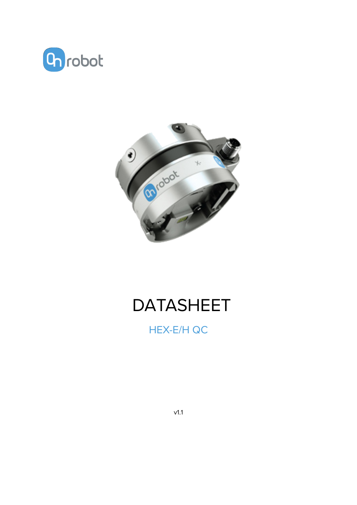



# **DATASHEET**

**HEX-E/H QC** 

 $v1.1$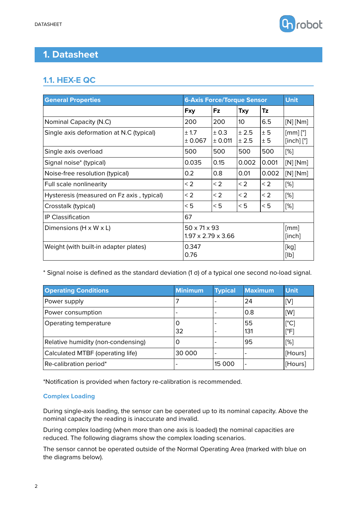

# **1. Datasheet**

# **1.1. HEX-E QC**

| <b>General Properties</b>                 | <b>6-Axis Force/Torque Sensor</b>                          |                    |                 |            | <b>Unit</b>                                 |
|-------------------------------------------|------------------------------------------------------------|--------------------|-----------------|------------|---------------------------------------------|
|                                           | <b>Fxy</b>                                                 | <b>Fz</b>          | <b>Txy</b>      | Tz         |                                             |
| Nominal Capacity (N.C)                    | 200                                                        | 200                | 10 <sup>°</sup> | 6.5        | $[N]$ [Nm]                                  |
| Single axis deformation at N.C (typical)  | ± 1.7<br>± 0.067                                           | ± 0.3<br>$±$ 0.011 | ± 2.5<br>± 2.5  | ± 5<br>± 5 | $\lceil mm \rceil \rceil$<br>$[inch]$ $[°]$ |
| Single axis overload                      | 500                                                        | 500                | 500             | 500        | [%]                                         |
| Signal noise* (typical)                   | 0.035                                                      | 0.15               | 0.002           | 0.001      | $[N]$ [Nm]                                  |
| Noise-free resolution (typical)           | 0.2                                                        | 0.8                | 0.01            | 0.002      | [N][Nm]                                     |
| Full scale nonlinearity                   | $\leq$ 2                                                   | $\leq$ 2           | < 2             | $\leq$ 2   | [%]                                         |
| Hysteresis (measured on Fz axis, typical) | $\leq$ 2                                                   | $\leq$ 2           | $\leq$ 2        | < 2        | [%]                                         |
| Crosstalk (typical)                       | < 5                                                        | < 5                | < 5             | < 5        | [%]                                         |
| <b>IP Classification</b>                  | 67                                                         |                    |                 |            |                                             |
| Dimensions ( $H \times W \times L$ )      | $50 \times 71 \times 93$<br>$1.97 \times 2.79 \times 3.66$ |                    |                 |            | [mm]<br>[inch]                              |
| Weight (with built-in adapter plates)     | 0.347<br>0.76                                              |                    |                 |            | [kg]<br>[Ib]                                |

\* Signal noise is defined as the standard deviation (1 σ) of a typical one second no-load signal.

| <b>Operating Conditions</b>        | <b>Minimum</b> | <b>Typical</b> | <b>Maximum</b> | <b>Unit</b>                               |
|------------------------------------|----------------|----------------|----------------|-------------------------------------------|
| Power supply                       |                |                | 24             | l[V]                                      |
| Power consumption                  |                |                | 0.8            | [W]                                       |
| Operating temperature              | O<br>32        |                | 55<br>131      | $ \mathsf{C}^{\circ}\mathsf{C} $<br>∣[°F] |
| Relative humidity (non-condensing) | O              |                | 95             | [%]                                       |
| Calculated MTBF (operating life)   | 30 000         |                |                | [Hours]                                   |
| Re-calibration period*             |                | 15 000         |                | [Hours]                                   |

\*Notification is provided when factory re-calibration is recommended.

### **Complex Loading**

During single-axis loading, the sensor can be operated up to its nominal capacity. Above the nominal capacity the reading is inaccurate and invalid.

During complex loading (when more than one axis is loaded) the nominal capacities are reduced. The following diagrams show the complex loading scenarios.

The sensor cannot be operated outside of the Normal Operating Area (marked with blue on the diagrams below).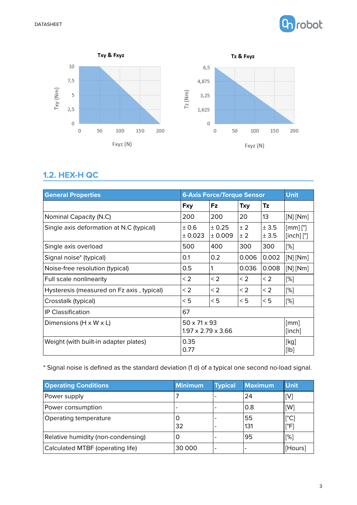



## **1.2. HEX-H QC**

| <b>General Properties</b>                 | <b>6-Axis Force/Torque Sensor</b>                          |                   |            |                | <b>Unit</b>                                                    |
|-------------------------------------------|------------------------------------------------------------|-------------------|------------|----------------|----------------------------------------------------------------|
|                                           | <b>Fxy</b>                                                 | <b>Fz</b>         | Txy        | Tz             |                                                                |
| Nominal Capacity (N.C)                    | 200                                                        | 200               | 20         | 13             | $[N]$ [Nm]                                                     |
| Single axis deformation at N.C (typical)  | ± 0.6<br>± 0.023                                           | ± 0.25<br>± 0.009 | ± 2<br>± 2 | ± 3.5<br>± 3.5 | $\lceil$ [mm] $\lceil$ °]<br>$\lceil$ inch $\rceil$ $\lceil$ ° |
| Single axis overload                      | 500                                                        | 400               | 300        | 300            | [%]                                                            |
| Signal noise* (typical)                   | 0.1                                                        | 0.2               | 0.006      | 0.002          | $\lfloor$ [N] $\lfloor$ Nm]                                    |
| Noise-free resolution (typical)           | 0.5                                                        |                   | 0.036      | 0.008          | [N][Nm]                                                        |
| Full scale nonlinearity                   | $\leq$ 2                                                   | $\leq$ 2          | $\leq$ 2   | $\leq$ 2       | [%]                                                            |
| Hysteresis (measured on Fz axis, typical) | < 2                                                        | < 2               | $\leq$ 2   | $\leq$ 2       | [%]                                                            |
| Crosstalk (typical)                       | < 5                                                        | < 5               | < 5        | < 5            | [%]                                                            |
| <b>IP Classification</b>                  | 67                                                         |                   |            |                |                                                                |
| Dimensions ( $H \times W \times L$ )      | $50 \times 71 \times 93$<br>$1.97 \times 2.79 \times 3.66$ |                   |            |                | [mm]<br>[inch]                                                 |
| Weight (with built-in adapter plates)     | 0.35<br>0.77                                               |                   |            |                | [kg]<br>[lb]                                                   |

\* Signal noise is defined as the standard deviation (1 σ) of a typical one second no-load signal.

| <b>Operating Conditions</b>        | <b>Minimum</b> | <b>Typical</b>           | <b>Maximum</b> | <b>Unit</b>                             |
|------------------------------------|----------------|--------------------------|----------------|-----------------------------------------|
| Power supply                       |                | $\overline{\phantom{a}}$ | 24             | [V]                                     |
| Power consumption                  |                |                          | 0.8            | [W]                                     |
| Operating temperature              | 32             | $\overline{\phantom{0}}$ | 55<br>131      | $\lceil^{\circ}C\rceil$<br>$\lceil$ °F] |
| Relative humidity (non-condensing) |                |                          | 95             | [%]                                     |
| Calculated MTBF (operating life)   | 30 000         |                          |                | [Hours]                                 |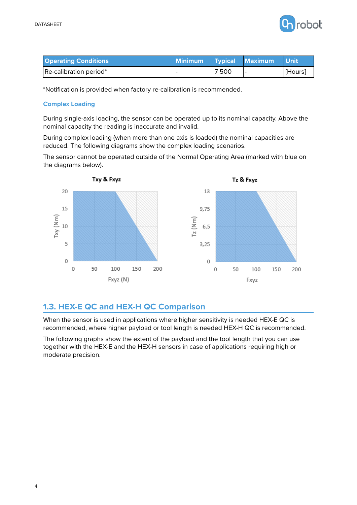

| <b>Operating Conditions</b> | <b>Minimum</b> |      | Typical Maximum | <b>Unit</b> |
|-----------------------------|----------------|------|-----------------|-------------|
| Re-calibration period*      |                | 7500 |                 | [Hours]     |

\*Notification is provided when factory re-calibration is recommended.

#### **Complex Loading**

During single-axis loading, the sensor can be operated up to its nominal capacity. Above the nominal capacity the reading is inaccurate and invalid.

During complex loading (when more than one axis is loaded) the nominal capacities are reduced. The following diagrams show the complex loading scenarios.

The sensor cannot be operated outside of the Normal Operating Area (marked with blue on the diagrams below).



## **1.3. HEX-E QC and HEX-H QC Comparison**

When the sensor is used in applications where higher sensitivity is needed HEX-E QC is recommended, where higher payload or tool length is needed HEX-H QC is recommended.

The following graphs show the extent of the payload and the tool length that you can use together with the HEX-E and the HEX-H sensors in case of applications requiring high or moderate precision.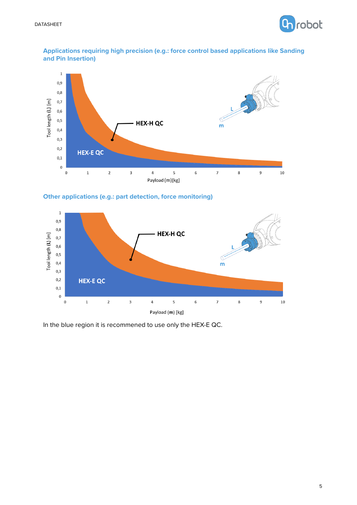

#### **Applications requiring high precision (e.g.: force control based applications like Sanding and Pin Insertion)**







In the blue region it is recommened to use only the HEX-E QC.